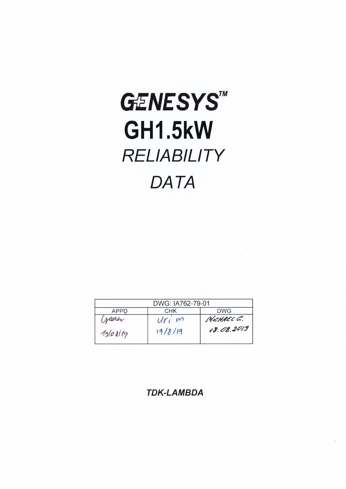# **GENESYS" GH1.5kW** RELIABILITY DATA

|        | DWG: IA762-79-01 |             |
|--------|------------------|-------------|
| APPD   | CHK              | <b>DWG</b>  |
| gares  | $Ur_{1}$ m       | SHICHAEL C. |
| 190119 | 19/8/19          | 18.08.2019  |
|        |                  |             |

**TDK-LAMBDA**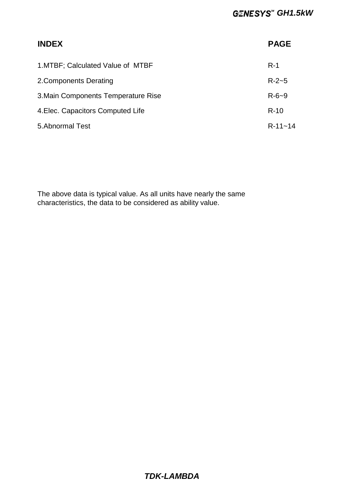| <b>INDEX</b>                        | <b>PAGE</b> |
|-------------------------------------|-------------|
| 1. MTBF; Calculated Value of MTBF   | $R-1$       |
| 2. Components Derating              | $R - 2 - 5$ |
| 3. Main Components Temperature Rise | $R - 6 - 9$ |
| 4. Elec. Capacitors Computed Life   | $R-10$      |
| 5. Abnormal Test                    | $R-11-14$   |

The above data is typical value. As all units have nearly the same characteristics, the data to be considered as ability value.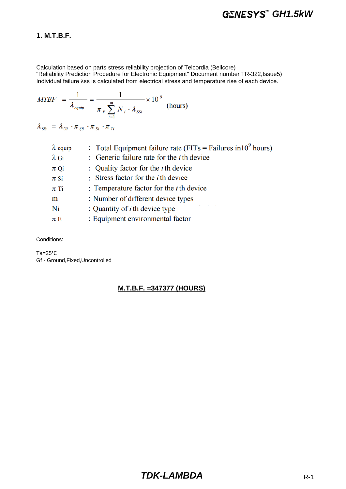#### **1. M.T.B.F.**

Calculation based on parts stress reliability projection of Telcordia (Bellcore)

"Reliability Prediction Procedure for Electronic Equipment" Document number TR-322,Issue5) Individual failure λss is calculated from electrical stress and temperature rise of each device.

$$
MTBF = \frac{1}{\lambda_{\text{equip}}} = \frac{1}{\pi_{E} \sum_{i=1}^{m} N_{i} \cdot \lambda_{\text{SSI}}} \times 10^{9}
$$
 (hours)  

$$
\lambda_{\text{SSI}} = \lambda_{Gi} \cdot \pi_{Qi} \cdot \pi_{Si} \cdot \pi_{Ti}
$$

| $\lambda$ equip | : Total Equipment failure rate (FITs = Failures in $10^9$ hours) |
|-----------------|------------------------------------------------------------------|
| $\lambda$ Gi    | : Generic failure rate for the $i$ th device                     |
| $\pi$ Qi        | : Quality factor for the $i$ th device                           |
| $\pi$ Si        | : Stress factor for the $i$ th device                            |
| $\pi$ Ti        | : Temperature factor for the $i$ th device                       |
| m               | : Number of different device types                               |
| Ni              | : Quantity of $i$ th device type                                 |
| $\pi E$         | : Equipment environmental factor                                 |

Conditions:

Ta=25°C Gf - Ground,Fixed,Uncontrolled

#### **M.T.B.F. =347377 (HOURS)**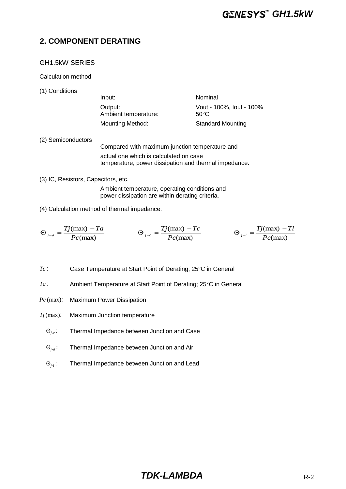### **2. COMPONENT DERATING**

#### GH1.5kW SERIES

Calculation method

(1) Conditions

| Input:                          | Nominal                                    |
|---------------------------------|--------------------------------------------|
| Output:<br>Ambient temperature: | Vout - 100%, lout - 100%<br>$50^{\circ}$ C |
| <b>Mounting Method:</b>         | <b>Standard Mounting</b>                   |

- (2) Semiconductors Compared with maximum junction temperature and actual one which is calculated on case temperature, power dissipation and thermal impedance.
- (3) IC, Resistors, Capacitors, etc.

Ambient temperature, operating conditions and power dissipation are within derating criteria.

#### (4) Calculation method of thermal impedance:

$$
\Theta_{j-a} = \frac{Tj(\max) - Ta}{Pc(\max)} \qquad \Theta_{j-c} = \frac{Tj(\max) - Tc}{Pc(\max)} \qquad \Theta_{j-l} = \frac{Tj(\max) - Tl}{Pc(\max)}
$$

*Tc* : Case Temperature at Start Point of Derating; 25°C in General

- *Ta* : Ambient Temperature at Start Point of Derating; 25°C in General
- *Pc* (max): Maximum Power Dissipation
- *Tj* (max): Maximum Junction temperature
	- Θ*j-c* : Thermal Impedance between Junction and Case
	- Θ*j-a* : Thermal Impedance between Junction and Air
	- Θ*j-l* : Thermal Impedance between Junction and Lead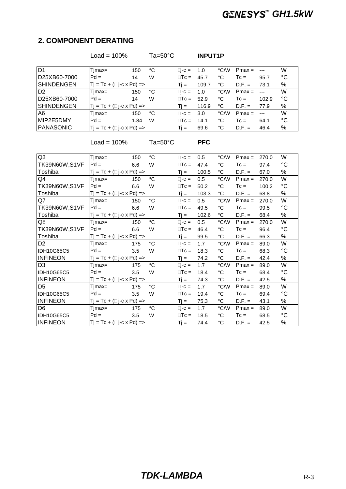#### **2. COMPONENT DERATING**

|                   | $Load = 100\%$                 |      | Ta=50°C |             | <b>INPUT1P</b> |      |          |       |      |
|-------------------|--------------------------------|------|---------|-------------|----------------|------|----------|-------|------|
| D <sub>1</sub>    | Tjmax=                         | 150  | °C      | $\Box$ -C = | 1.0            | °C/W | $Pmax =$ | $---$ | W    |
| D25XB60-7000      | $Pd =$                         | 14   | W       | $\Box$ Tc = | 45.7           | °C   | $T_c =$  | 95.7  | °C   |
| <b>SHINDENGEN</b> | $T_i = Tc + (i c x Pd) =$      |      |         | $Ti =$      | 109.7          | °C   | $D.F. =$ | 73.1  | %    |
| D <sub>2</sub>    | Timax=                         | 150  | °C      | $\Box$ -C = | 1.0            | °C/W | $Pmax =$ | $---$ | W    |
| D25XB60-7000      | $Pd =$                         | 14   | W       | $\Box$ Tc = | 52.9           | °C   | $T_c =$  | 102.9 | °C   |
| <b>SHINDENGEN</b> | $ T  = Tc + (i c \times Pd) =$ |      |         | $Ti =$      | 116.9          | °C   | $D.F. =$ | 77.9  | %    |
| A6                | Timax=                         | 150  | °C      | $\Box$ -C = | 3.0            | °C/W | $Pmax =$ | $---$ | W    |
| MIP2E5DMY         | $Pd =$                         | 1.84 | W       | $\Box$ Tc = | 14.1           | °C   | $T_c =$  | 64.1  | °C   |
| <b>PANASONIC</b>  | $ T  = Tc + (  c \times Pd) =$ |      |         | Ti =        | 69.6           | °C   | $D.F. =$ | 46.4  | $\%$ |

Load = 100% Ta=50°C **PFC**

| Q3              | $Timax =$                                       | 150 | $^{\circ}C$ | $\Box$ -c =       | 0.5   | °C/W              | $Pmax =$ | 270.0 | W               |
|-----------------|-------------------------------------------------|-----|-------------|-------------------|-------|-------------------|----------|-------|-----------------|
| TK39N60W,S1VF   | $Pd =$                                          | 6.6 | W           | $\Box$ Tc =       | 47.4  | $^{\circ}C$       | $Tc =$   | 97.4  | $^{\circ}C$     |
| Toshiba         | $Tj = Tc + (\square j-c \times Pd) \Rightarrow$ |     |             | $Tj =$            | 100.5 | $^{\circ}{\rm C}$ | $D.F. =$ | 67.0  | ℅               |
| Q4              | Tjmax=                                          | 150 | $^{\circ}C$ | $\Box$ -c =       | 0.5   | $\degree$ C/W     | $Pmax =$ | 270.0 | W               |
| TK39N60W,S1VF   | $Pd =$                                          | 6.6 | W           | $\Box$ Tc =       | 50.2  | $^{\circ}{\rm C}$ | $T_c =$  | 100.2 | $^{\circ}C$     |
| Toshiba         | $Tj = Tc + (\square j-c \times Pd) =>$          |     |             | $Tj =$            | 103.3 | $^{\circ}{\rm C}$ | $D.F. =$ | 68.8  | $\%$            |
| Q7              | Tjmax=                                          | 150 | °C          | $\Box$ -C =       | 0.5   | °C/W              | $Pmax =$ | 270.0 | W               |
| TK39N60W, S1VF  | $Pd =$                                          | 6.6 | W           | $\Box$ Tc =       | 49.5  | $^{\circ}{\rm C}$ | $T_c =$  | 99.5  | $^{\circ}C$     |
| Toshiba         | $Tj = Tc + (\square j-c \times Pd) \Rightarrow$ |     |             | $Tj =$            | 102.6 | $^{\circ}{\rm C}$ | $D.F. =$ | 68.4  | ℅               |
| Q8              | Tjmax=                                          | 150 | $^{\circ}C$ | $\Box$ -C =       | 0.5   | °C/W              | $Pmax =$ | 270.0 | W               |
| TK39N60W,S1VF   | $Pd =$                                          | 6.6 | W           | $\Box$ Tc =       | 46.4  | $^{\circ}C$       | $T_c =$  | 96.4  | $\rm ^{\circ}C$ |
| Toshiba         | $Tj = Tc + (\square j-c \times Pd) =>$          |     |             | $Tj =$            | 99.5  | $^{\circ}{\rm C}$ | $D.F. =$ | 66.3  | %               |
| D <sub>2</sub>  | Tjmax=                                          | 175 | $^{\circ}C$ | $\Box$ -c =       | 1.7   | $\degree$ C/W     | $Pmax =$ | 89.0  | W               |
| IDH10G65C5      | $Pd =$                                          | 3.5 | W           | $\Box$ Tc =       | 18.3  | $^{\circ}{\rm C}$ | $T_c =$  | 68.3  | $^{\circ}C$     |
| <b>INFINEON</b> | $Tj = Tc + (i c x Pd) =$                        |     |             | $Tj =$            | 74.2  | $^{\circ}{\rm C}$ | $D.F. =$ | 42.4  | %               |
| D <sub>3</sub>  | Tjmax=                                          | 175 | $^{\circ}C$ | $\Box$ -C =       | 1.7   | $^{\circ}$ C/W    | $Pmax =$ | 89.0  | W               |
| IDH10G65C5      | $Pd =$                                          | 3.5 | W           | $\Box$ Tc =       | 18.4  | $\rm ^{\circ}C$   | $Tc =$   | 68.4  | $\rm ^{\circ}C$ |
| <b>INFINEON</b> | $Tj = Tc + (\square j-c \times Pd) \Rightarrow$ |     |             | $Tj =$            | 74.3  | $^{\circ}C$       | $D.F. =$ | 42.5  | $\%$            |
| D <sub>5</sub>  | Tjmax=                                          | 175 | $^{\circ}C$ | $\Box$ -c =       | 1.7   | °C/W              | $Pmax =$ | 89.0  | W               |
| IDH10G65C5      | $Pd =$                                          | 3.5 | W           | $\Box$ Tc =       | 19.4  | $^{\circ}{\rm C}$ | $Tc =$   | 69.4  | °C              |
| <b>INFINEON</b> | $Tj = Tc + (\square j-c \times Pd) \Rightarrow$ |     |             | $T_{\parallel} =$ | 75.3  | $^{\circ}{\rm C}$ | $D.F. =$ | 43.1  | %               |
| D <sub>6</sub>  | Tjmax=                                          | 175 | $^{\circ}C$ | $\Box$ -c =       | 1.7   | $\degree$ C/W     | $Pmax =$ | 89.0  | W               |
| IDH10G65C5      | $Pd =$                                          | 3.5 | W           | $\Box$ Tc =       | 18.5  | $^{\circ}{\rm C}$ | $T_c =$  | 68.5  | $^{\circ}C$     |
| <b>INFINEON</b> | $Tj = Tc + (\Box j - c \times Pd) = >$          |     |             | $Ti =$            | 74.4  | $^{\circ}C$       | $D.F. =$ | 42.5  | %               |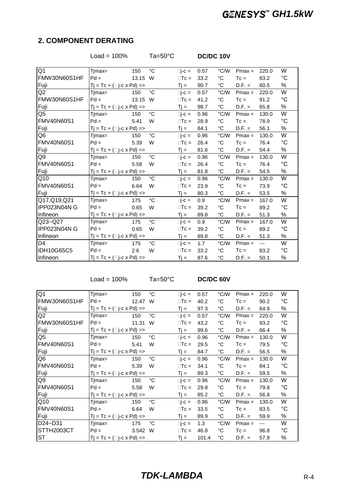### **2. COMPONENT DERATING**

|                   | Load = $100\%$                                  |         | $Ta=50^{\circ}C$ |                   | DC/DC 10V |                   |          |       |             |
|-------------------|-------------------------------------------------|---------|------------------|-------------------|-----------|-------------------|----------|-------|-------------|
| Q <sub>1</sub>    | $Timax =$                                       | 150     | $^{\circ}C$      | $\Box$ -c =       | 0.57      | °C/W              | $Pmax =$ | 220.0 | W           |
| FMW30N60S1HF      | $Pd =$                                          | 13.15   | W                | $\Box$ Tc =       | 33.2      | $^{\circ}C$       | $T_c =$  | 83.2  | °C          |
| Fuji              | $Tj = Tc + (\square j-c \times Pd)$ =>          |         |                  | $Tj =$            | 90.7      | $^{\circ}{\rm C}$ | $D.F. =$ | 60.5  | %           |
| Q2                | Tjmax=                                          | 150     | °C               | $\Box$ -C =       | 0.57      | °C/W              | $Pmax =$ | 220.0 | W           |
| FMW30N60S1HF      | $Pd =$                                          | 13.15 W |                  | $\Box$ Tc =       | 41.2      | $^{\circ}C$       | $T_c =$  | 91.2  | $^{\circ}C$ |
| Fuji              | $Tj = Tc + (\Box j - c \times Pd)$ =>           |         |                  | $Tj =$            | 98.7      | $^{\circ}$ C      | $D.F. =$ | 65.8  | %           |
| Q <sub>5</sub>    | Tjmax=                                          | 150     | $^{\circ}C$      | $\Box$ -C =       | 0.96      | °C/W              | $Pmax =$ | 130.0 | W           |
| <b>FMV40N60S1</b> | $Pd =$                                          | 5.41    | W                | $\Box$ Tc =       | 28.9      | $^{\circ}{\rm C}$ | $T_c =$  | 78.9  | °C          |
| Fuji              | $Tj = Tc + (\Box j - c \times Pd) = >$          |         |                  | $Tj =$            | 84.1      | $^{\circ}{\rm C}$ | $D.F. =$ | 56.1  | ℅           |
| Q <sub>6</sub>    | Timax=                                          | 150     | $\rm ^{\circ}C$  | $\Box$ -C =       | 0.96      | °C/W              | $Pmax =$ | 130.0 | W           |
| <b>FMV40N60S1</b> | $Pd =$                                          | 5.39    | W                | $\Box$ Tc =       | 26.4      | $^{\circ}C$       | $T_c =$  | 76.4  | °C          |
| Fuji              | $Tj = Tc + (i)j-c \times Pd$ =>                 |         |                  | $Tj =$            | 81.6      | $^{\circ}{\rm C}$ | $D.F. =$ | 54.4  | ℅           |
| Q9                | Tjmax=                                          | 150     | °C               | $\Box$ -C =       | 0.96      | °C/W              | $Pmax =$ | 130.0 | W           |
| FMV40N60S1        | $Pd =$                                          | 5.58    | W                | $\Box$ Tc =       | 26.4      | °C                | $T_c =$  | 76.4  | $^{\circ}C$ |
| Fuji              | $Tj = Tc + (\square j-c \times Pd)$ =>          |         |                  | $T_{\parallel} =$ | 81.8      | $^{\circ}$ C      | $D.F. =$ | 54.5  | %           |
| Q10               | Tjmax=                                          | 150     | $^{\circ}C$      | $\Box$ -C =       | 0.96      | °C/W              | $Pmax =$ | 130.0 | W           |
| <b>FMV40N60S1</b> | $Pd =$                                          | 6.64    | W                | $\Box$ Tc =       | 23.9      | $^{\circ}{\rm C}$ | $T_c =$  | 73.9  | °C          |
| Fuji              | $Tj = Tc + (\square j-c \times Pd)$ =>          |         |                  | $Tj =$            | 80.3      | °C                | $D.F. =$ | 53.5  | ℅           |
| Q17, Q19, Q21     | Timax=                                          | 175     | °C               | $\Box$ -C =       | 0.9       | °C/W              | $Pmax =$ | 167.0 | W           |
| IPP023N04N G      | $Pd =$                                          | 0.65    | W                | $\Box$ Tc =       | 39.2      | $^{\circ}$ C      | $T_c =$  | 89.2  | $^{\circ}C$ |
| Infineon          | $Tj = Tc + (\square j-c \times Pd)$ =>          |         |                  | $Tj =$            | 89.8      | $^{\circ}{\rm C}$ | $D.F. =$ | 51.3  | $\%$        |
| $Q23 - Q27$       | Tjmax=                                          | 175     | °C               | $\Box$ -C =       | 0.9       | °C/W              | $Pmax =$ | 167.0 | W           |
| IPP023N04N G      | $Pd =$                                          | 0.65    | W                | $\Box$ Tc =       | 39.2      | $^{\circ}$ C      | $T_c =$  | 89.2  | $^{\circ}C$ |
| Infineon          | $Tj = Tc + (\square j-c \times Pd) \Rightarrow$ |         |                  | $Tj =$            | 89.8      | $^{\circ}$ C      | $D.F. =$ | 51.3  | %           |
| D <sub>4</sub>    | Tjmax=                                          | 175     | $^{\circ}C$      | $\Box$ -C =       | 1.7       | °C/W              | $Pmax =$ | ---   | W           |
| IDH10G65C5        | $Pd =$                                          | 2.6     | W                | $\Box$ Tc =       | 33.2      | $^{\circ}{\rm C}$ | $T_c =$  | 83.2  | °C          |
| Infineon          | $Tj = Tc + (\square j-c \times Pd) \Rightarrow$ |         |                  | $Tj =$            | 87.6      | $^{\circ}C$       | $D.F. =$ | 50.1  | ℅           |

Load = 100% Ta=50°C **DC/DC 60V**

| Q <sub>1</sub>    | Tjmax=                                          | 150     | °C | $\Box$ -C = | 0.57  | °C/W              | $Pmax =$ | 220.0 | W               |
|-------------------|-------------------------------------------------|---------|----|-------------|-------|-------------------|----------|-------|-----------------|
| FMW30N60S1HF      | $Pd =$                                          | 12.47   | W  | $\Box$ Tc = | 40.2  | °C                | $T_c =$  | 90.2  | $^{\circ}C$     |
| Fuji              | $Tj = Tc + (\square j-c \times Pd) =>$          |         |    | $Ti =$      | 97.3  | $^{\circ}C$       | $D.F. =$ | 64.9  | %               |
| Q2                | Tjmax=                                          | 150     | °C | $\Box$ -C = | 0.57  | °C/W              | $Pmax =$ | 220.0 | W               |
| FMW30N60S1HF      | $Pd =$                                          | 11.31   | W  | $\Box$ Tc = | 43.2  | $^{\circ}C$       | $T_c =$  | 93.2  | $\rm ^{\circ}C$ |
| Fuji              | $Tj = Tc + (\square j-c \times Pd) \Rightarrow$ |         |    | $Ti =$      | 99.6  | $^{\circ}{\rm C}$ | $D.F. =$ | 66.4  | %               |
| Q <sub>5</sub>    | Timax=                                          | 150     | °C | $\Box$ -C = | 0.96  | °C/W              | $Pmax =$ | 130.0 | W               |
| FMV40N60S1        | $Pd =$                                          | 5.41    | W  | $\Box$ Tc = | 29.5  | °C                | $T_c =$  | 79.5  | $\rm ^{\circ}C$ |
| Fuji              | $Tj = Tc + (\square j-c \times Pd) =>$          |         |    | $Ti =$      | 84.7  | °C                | $D.F. =$ | 56.5  | %               |
| Q <sub>6</sub>    | Tjmax=                                          | 150     | °C | $\Box$ -C = | 0.96  | °C/W              | $Pmax =$ | 130.0 | W               |
| <b>FMV40N60S1</b> | $Pd =$                                          | 5.39    | W  | $\Box$ Tc = | 34.1  | °C                | $T_c =$  | 84.1  | $\rm ^{\circ}C$ |
| Fuji              | $Tj = Tc + (\square j-c \times Pd) =>$          |         |    | $Tj =$      | 89.3  | °C                | $D.F. =$ | 59.5  | %               |
| Q9                | Timax=                                          | 150     | °C | $\Box$ -C = | 0.96  | °C/W              | $Pmax =$ | 130.0 | W               |
| FMV40N60S1        | $Pd =$                                          | 5.58    | W  | $\Box$ Tc = | 29.8  | °C                | $T_c =$  | 79.8  | $^{\circ}C$     |
| Fuji              | $T_i = Tc + (\square - c \times Pd) = >$        |         |    | $Ti =$      | 85.2  | $^{\circ}C$       | $D.F. =$ | 56.8  | %               |
| Q10               | Tjmax=                                          | 150     | °C | $\Box$ -C = | 0.96  | °C/W              | $Pmax =$ | 130.0 | W               |
| <b>FMV40N60S1</b> | $Pd =$                                          | 6.64    | W  | $\Box$ Tc = | 33.5  | °C                | $T_c =$  | 83.5  | $\rm ^{\circ}C$ |
| Fuji              | $Tj = Tc + (\square j-c \times Pd) \Rightarrow$ |         |    | $Tj =$      | 89.9  | $^{\circ}C$       | $D.F. =$ | 59.9  | %               |
| D24~D31           | Tjmax=                                          | 175     | °C | $\Box$ -C = | 1.3   | °C/W              | $Pmax =$ | ---   | W               |
| STTH2003CT        | $Pd =$                                          | 3.542 W |    | $\Box$ Tc = | 46.8  | °C                | $T_c =$  | 96.8  | °C              |
| <b>ST</b>         | $Tj = Tc + (\square j-c \times Pd) \Rightarrow$ |         |    | $Ti =$      | 101.4 | °C                | $D.F. =$ | 57.9  | %               |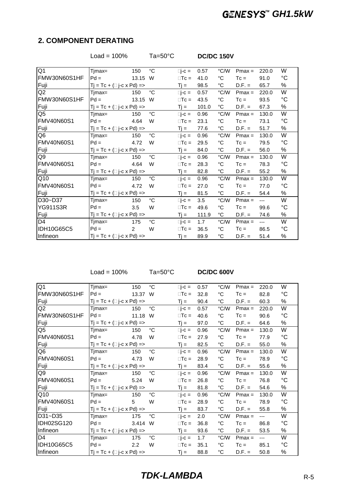### **2. COMPONENT DERATING**

|                   | $Load = 100\%$                                  |                | $Ta=50^{\circ}C$ |             | <b>DC/DC 150V</b> |                   |          |                |             |
|-------------------|-------------------------------------------------|----------------|------------------|-------------|-------------------|-------------------|----------|----------------|-------------|
| Q <sub>1</sub>    | $Timax =$                                       | 150            | $^{\circ}C$      | $\Box$ -c = | 0.57              | °C/W              | $Pmax =$ | 220.0          | W           |
| FMW30N60S1HF      | $Pd =$                                          | 13.15          | W                | $\Box$ Tc = | 41.0              | °C                | $T_c =$  | 91.0           | $^{\circ}C$ |
| Fuji              | $Tj = Tc + (\square j-c \times Pd)$ =>          |                |                  | $Tj =$      | 98.5              | $^{\circ}$ C      | $D.F. =$ | 65.7           | ℅           |
| Q <sub>2</sub>    | Timax=                                          | 150            | $^{\circ}C$      | $\Box$ -c = | 0.57              | $\degree$ C/W     | $Pmax =$ | 220.0          | W           |
| FMW30N60S1HF      | $Pd =$                                          | 13.15 W        |                  | $\Box$ Tc = | 43.5              | $^{\circ}$ C      | $T_c =$  | 93.5           | $^{\circ}C$ |
| Fuji              | $Tj = Tc + (\square j-c \times Pd) =>$          |                |                  | $Tj =$      | 101.0             | $^{\circ}C$       | $D.F. =$ | 67.3           | ℅           |
| Q5                | Tjmax=                                          | 150            | °C               | $\Box$ -C = | 0.96              | $\degree$ C/W     | $Pmax =$ | 130.0          | W           |
| <b>FMV40N60S1</b> | $Pd =$                                          | 4.64           | W                | $\Box$ Tc = | 23.1              | $^{\circ}{\rm C}$ | $T_c =$  | 73.1           | $^{\circ}C$ |
| Fuji              | $Tj = Tc + (\square j-c \times Pd)$ =>          |                |                  | $Tj =$      | 77.6              | $^{\circ}$ C      | $D.F. =$ | 51.7           | ℅           |
| Q6                | Timax=                                          | 150            | °C               | $\Box$ -C = | 0.96              | °C/W              | $Pmax =$ | 130.0          | W           |
| <b>FMV40N60S1</b> | $Pd =$                                          | 4.72           | W                | $\Box$ Tc = | 29.5              | $^{\circ}C$       | $T_c =$  | 79.5           | $^{\circ}C$ |
| Fuji              | $Tj = Tc + (\square j-c \times Pd) =>$          |                |                  | $Tj =$      | 84.0              | $^{\circ}$ C      | $D.F. =$ | 56.0           | ℅           |
| Q9                | Tjmax=                                          | 150            | °C               | $\Box$ -C = | 0.96              | $\degree$ C/W     | $Pmax =$ | 130.0          | W           |
| <b>FMV40N60S1</b> | $Pd =$                                          | 4.64           | W                | $\Box$ Tc = | 28.3              | $^{\circ}$ C      | $T_c =$  | 78.3           | $^{\circ}C$ |
| Fuji              | $Tj = Tc + (\square j-c \times Pd) \Rightarrow$ |                |                  | $Tj =$      | 82.8              | $^{\circ}$ C      | $D.F. =$ | 55.2           | $\%$        |
| Q10               | Timax=                                          | 150            | $^{\circ}C$      | $\Box$ -C = | 0.96              | $\degree$ C/W     | $Pmax =$ | 130.0          | W           |
| <b>FMV40N60S1</b> | $Pd =$                                          | 4.72           | W                | $\Box$ Tc = | 27.0              | $^{\circ}C$       | $T_c =$  | 77.0           | $^{\circ}C$ |
| Fuji              | $Tj = Tc + (\square j-c \times Pd) \Rightarrow$ |                |                  | $Tj =$      | 81.5              | $^{\circ}$ C      | $D.F. =$ | 54.4           | %           |
| D30~D37           | $Tjmax=$                                        | 150            | °C               | $\Box$ -C = | 3.5               | °C/W              | $Pmax =$ | ---            | W           |
| <b>YG911S3R</b>   | $Pd =$                                          | 3.5            | W                | $\Box$ Tc = | 49.6              | $^{\circ}$ C      | $T_c =$  | 99.6           | $^{\circ}C$ |
| Fuji              | $Tj = Tc + (\square j-c \times Pd) =>$          |                |                  | $Tj =$      | 111.9             | $^{\circ}$ C      | $D.F. =$ | 74.6           | ℅           |
| D4                | Tjmax=                                          | 175            | $^{\circ}C$      | $\Box$ -C = | 1.7               | °C/W              | $Pmax =$ | $\overline{a}$ | W           |
| IDH10G65C5        | $Pd =$                                          | $\overline{2}$ | W                | $\Box$ Tc = | 36.5              | $^{\circ}C$       | $T_c =$  | 86.5           | $^{\circ}C$ |
| Infineon          | $Tj = Tc + (\Box j - c \times Pd) = >$          |                |                  | $Tj =$      | 89.9              | $^{\circ}C$       | $D.F. =$ | 51.4           | ℅           |

Load = 100% Ta=50°C **DC/DC 600V**

| Q <sub>1</sub>    | Tjmax=                                          | 150     | °C | $\Box$ -c = | 0.57 | °C/W              | $Pmax =$ | 220.0 | W               |
|-------------------|-------------------------------------------------|---------|----|-------------|------|-------------------|----------|-------|-----------------|
| FMW30N60S1HF      | $Pd =$                                          | 13.37 W |    | $\Box$ Tc = | 32.8 | $^{\circ}C$       | $T_c =$  | 82.8  | $^{\circ}C$     |
| Fuji              | $Tj = Tc + (\square j-c \times Pd) =>$          |         |    | $Tj =$      | 90.4 | $^{\circ}$ C      | $D.F. =$ | 60.3  | %               |
| $\overline{Q}$    | $Timax =$                                       | 150     | °C | $\Box$ -C = | 0.57 | $\degree$ C/W     | $Pmax =$ | 220.0 | W               |
| FMW30N60S1HF      | $Pd =$                                          | 11.18   | W  | $\Box$ Tc = | 40.6 | $^{\circ}$ C      | $Tc =$   | 90.6  | $\rm ^{\circ}C$ |
| Fuji              | $Tj = Tc + (\Box j - c \times Pd)$ =>           |         |    | $Tj =$      | 97.0 | $^{\circ}$ C      | $D.F. =$ | 64.6  | %               |
| $\overline{Q5}$   | Tjmax=                                          | 150     | °C | $\Box$ -C = | 0.96 | °C/W              | $Pmax =$ | 130.0 | W               |
| <b>FMV40N60S1</b> | $Pd =$                                          | 4.78    | W  | $\Box$ Tc = | 27.9 | $^{\circ}C$       | $T_c =$  | 77.9  | $\rm ^{\circ}C$ |
| Fuji              | $Tj = Tc + (\square j-c \times Pd) =>$          |         |    | $Tj =$      | 82.5 | $^{\circ}{\rm C}$ | $D.F. =$ | 55.0  | ℅               |
| Q6                | Tjmax=                                          | 150     | °C | $\Box$ -C = | 0.96 | $\degree$ C/W     | $Pmax =$ | 130.0 | W               |
| <b>FMV40N60S1</b> | $Pd =$                                          | 4.73    | W  | $\Box$ Tc = | 28.9 | $^{\circ}{\rm C}$ | $T_c =$  | 78.9  | $^{\circ}C$     |
| Fuji              | $Tj = Tc + (\square j-c \times Pd) \Rightarrow$ |         |    | $Tj =$      | 83.4 | $^{\circ}$ C      | $D.F. =$ | 55.6  | ℅               |
| Q9                | Tjmax=                                          | 150     | °C | $\Box$ -C = | 0.96 | $\degree$ C/W     | $Pmax =$ | 130.0 | W               |
| <b>FMV40N60S1</b> | $Pd =$                                          | 5.24    | W  | $\Box$ Tc = | 26.8 | $^{\circ}C$       | $T_c =$  | 76.8  | $^{\circ}C$     |
| Fuji              | $Tj = Tc + (\square j-c \times Pd)$ =>          |         |    | $Tj =$      | 81.8 | $^{\circ}C$       | $D.F. =$ | 54.6  | %               |
| Q10               | Tjmax=                                          | 150     | °C | $\Box$ -C = | 0.96 | °C/W              | $Pmax =$ | 130.0 | W               |
| <b>FMV40N60S1</b> | $Pd =$                                          | 5       | W  | $\Box$ Tc = | 28.9 | $^{\circ}$ C      | $T_c =$  | 78.9  | $\rm ^{\circ}C$ |
| Fuji              | $Tj = Tc + (\square j-c \times Pd) =>$          |         |    | $Tj =$      | 83.7 | $^{\circ}{\rm C}$ | $D.F. =$ | 55.8  | %               |
| D31~D35           | Tjmax=                                          | 175     | °C | $\Box$ -C = | 2.0  | $^{\circ}$ C/W    | $Pmax =$ | $---$ | W               |
| <b>IDH02SG120</b> | $Pd =$                                          | 3.414 W |    | $\Box$ Tc = | 36.8 | $^{\circ}$ C      | $T_c =$  | 86.8  | $^{\circ}C$     |
| Infineon          | $Tj = Tc + (\Box j - c \times Pd)$ =>           |         |    | $Tj =$      | 93.6 | $^{\circ}$ C      | $D.F. =$ | 53.5  | %               |
| D4                | Tjmax=                                          | 175     | °C | $\Box$ -C = | 1.7  | °C/W              | $Pmax =$ | $---$ | W               |
| IDH10G65C5        | $Pd =$                                          | 2.2     | W  | $\Box$ Tc = | 35.1 | $^{\circ}C$       | $T_c =$  | 85.1  | $\rm ^{\circ}C$ |
| Infineon          | $Tj = Tc + (\square j-c \times Pd)$ =>          |         |    | $Tj =$      | 88.8 | °C                | $D.F. =$ | 50.8  | ℅               |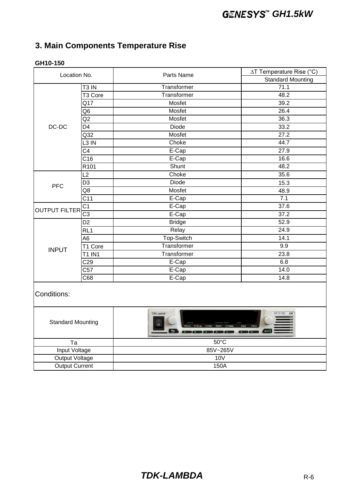## **3. Main Components Temperature Rise**

|                          |                     |                              | ∆T Temperature Rise (°C) |  |  |  |  |
|--------------------------|---------------------|------------------------------|--------------------------|--|--|--|--|
| Location No.             |                     | Parts Name                   | <b>Standard Mounting</b> |  |  |  |  |
|                          | T <sub>3</sub> IN   | Transformer                  | 71.1                     |  |  |  |  |
|                          | T <sub>3</sub> Core | Transformer                  | 48.2                     |  |  |  |  |
|                          | Q17                 | Mosfet                       | 39.2                     |  |  |  |  |
|                          | Q6                  | Mosfet                       | 26.4                     |  |  |  |  |
|                          | Q2                  | Mosfet                       | 36.3                     |  |  |  |  |
| DC-DC                    | D <sub>4</sub>      | Diode                        | 33.2                     |  |  |  |  |
|                          | Q <sub>32</sub>     | Mosfet                       | 27.2                     |  |  |  |  |
|                          | L3 IN               | Choke                        | 44.7                     |  |  |  |  |
|                          | C4                  | E-Cap                        | 27.9                     |  |  |  |  |
|                          | C16                 | E-Cap                        | 16.6                     |  |  |  |  |
|                          | R <sub>101</sub>    | Shunt                        | 48.2                     |  |  |  |  |
|                          | L2                  | Choke                        | 35.6                     |  |  |  |  |
|                          | D <sub>3</sub>      | Diode                        | 15.3                     |  |  |  |  |
| <b>PFC</b>               | Q8                  | Mosfet                       | 48.9                     |  |  |  |  |
|                          | $\overline{C11}$    | E-Cap                        | 7.1                      |  |  |  |  |
|                          | C <sub>1</sub>      | E-Cap                        | 37.6                     |  |  |  |  |
| <b>OUTPUT FILTER</b>     | C <sub>3</sub>      | E-Cap                        | $\overline{37.2}$        |  |  |  |  |
|                          | D <sub>2</sub>      | <b>Bridge</b>                | 52.9                     |  |  |  |  |
|                          | RL <sub>1</sub>     | Relay                        | 24.9                     |  |  |  |  |
|                          | A <sub>6</sub>      | Top-Switch                   | 14.1                     |  |  |  |  |
|                          | T1 Core             | Transformer                  | 9.9                      |  |  |  |  |
| <b>INPUT</b>             | <b>T1 IN1</b>       | Transformer                  | 23.8                     |  |  |  |  |
|                          | C <sub>29</sub>     | E-Cap                        | 6.8                      |  |  |  |  |
|                          | C57                 | E-Cap                        | 14.0                     |  |  |  |  |
|                          | C68                 | E-Cap                        | 14.8                     |  |  |  |  |
| Conditions:              |                     |                              |                          |  |  |  |  |
| <b>Standard Mounting</b> |                     | <b>TDK-Lambda</b><br>$\circ$ | GH10-150<br>LXI<br>OUT   |  |  |  |  |
| Ta                       |                     | $50^{\circ}$ C               |                          |  |  |  |  |
| <b>Input Voltage</b>     |                     | 85V~265V                     |                          |  |  |  |  |
| <b>Output Voltage</b>    |                     | <b>10V</b>                   |                          |  |  |  |  |
| <b>Output Current</b>    |                     | 150A                         |                          |  |  |  |  |

### **GH10-150**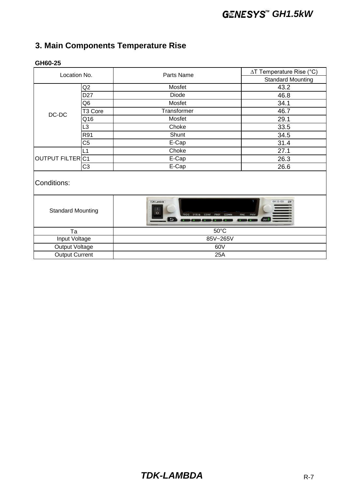## **3. Main Components Temperature Rise**

| Location No.                |                     | Parts Name                                                           | ∆T Temperature Rise (°C)              |
|-----------------------------|---------------------|----------------------------------------------------------------------|---------------------------------------|
|                             |                     |                                                                      | <b>Standard Mounting</b>              |
|                             | Q <sub>2</sub>      | Mosfet                                                               | 43.2                                  |
|                             | D <sub>27</sub>     | Diode                                                                | 46.8                                  |
|                             | Q6                  | Mosfet                                                               | 34.1                                  |
| $DC-DC$                     | T <sub>3</sub> Core | Transformer                                                          | 46.7                                  |
|                             | Q16                 | Mosfet                                                               | 29.1                                  |
|                             | L3                  | Choke                                                                | 33.5                                  |
|                             | R91                 | Shunt                                                                | 34.5                                  |
|                             | C <sub>5</sub>      | E-Cap                                                                | 31.4                                  |
|                             | L1                  | Choke                                                                | 27.1                                  |
| OUTPUT FILTER <sub>C1</sub> |                     | E-Cap                                                                | 26.3                                  |
|                             | C <sub>3</sub>      | E-Cap                                                                | 26.6                                  |
| Conditions:                 |                     |                                                                      |                                       |
| <b>Standard Mounting</b>    |                     | <b>TDK-Lambda</b><br>SYST/6<br>CONF<br><b>FINE</b><br>$\overline{ }$ | GH10-150<br>LXI<br>PREV<br><b>OUT</b> |
| Ta                          |                     | $50^{\circ}$ C                                                       |                                       |
| <b>Input Voltage</b>        |                     | 85V~265V                                                             |                                       |
| Output Voltage              |                     | 60V                                                                  |                                       |
| <b>Output Current</b>       |                     | 25A                                                                  |                                       |

#### **GH60-25**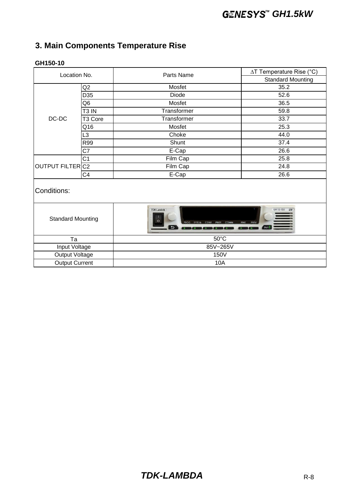## **3. Main Components Temperature Rise**

| Location No.                |                   | Parts Name        | ∆T Temperature Rise (°C) |  |  |  |  |  |  |  |  |  |
|-----------------------------|-------------------|-------------------|--------------------------|--|--|--|--|--|--|--|--|--|
|                             |                   |                   | <b>Standard Mounting</b> |  |  |  |  |  |  |  |  |  |
|                             | Q2                | Mosfet            | 35.2                     |  |  |  |  |  |  |  |  |  |
|                             | D35               | Diode             | 52.6                     |  |  |  |  |  |  |  |  |  |
|                             | Q6                | Mosfet            | 36.5                     |  |  |  |  |  |  |  |  |  |
|                             | T <sub>3</sub> IN | Transformer       | 59.8                     |  |  |  |  |  |  |  |  |  |
| DC-DC                       | T3 Core           | Transformer       | 33.7                     |  |  |  |  |  |  |  |  |  |
|                             | Q16               | Mosfet            | 25.3                     |  |  |  |  |  |  |  |  |  |
|                             | L3                | Choke             | 44.0                     |  |  |  |  |  |  |  |  |  |
|                             | R99               | Shunt             | 37.4                     |  |  |  |  |  |  |  |  |  |
|                             | C7                | E-Cap             | 26.6                     |  |  |  |  |  |  |  |  |  |
|                             | C <sub>1</sub>    | Film Cap          | 25.8                     |  |  |  |  |  |  |  |  |  |
| OUTPUT FILTER <sub>C2</sub> |                   | Film Cap          | 24.8                     |  |  |  |  |  |  |  |  |  |
|                             | C4                | $E-Cap$           | 26.6                     |  |  |  |  |  |  |  |  |  |
| Conditions:                 |                   |                   |                          |  |  |  |  |  |  |  |  |  |
| <b>Standard Mounting</b>    |                   | <b>TDK-Lambda</b> | GH10-150<br>LXI<br>OUT   |  |  |  |  |  |  |  |  |  |
| Ta                          |                   | 50°C              |                          |  |  |  |  |  |  |  |  |  |
| Input Voltage               |                   | 85V~265V          |                          |  |  |  |  |  |  |  |  |  |
| Output Voltage              |                   | 150V              |                          |  |  |  |  |  |  |  |  |  |
| <b>Output Current</b>       |                   | 10A               |                          |  |  |  |  |  |  |  |  |  |

### **GH150-10**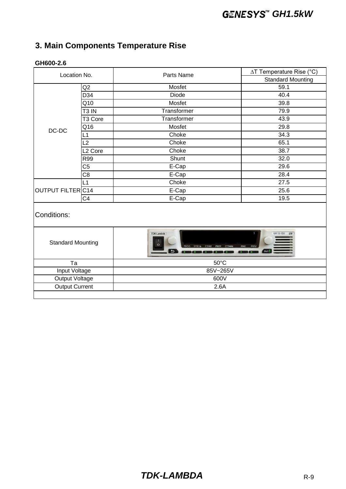## **3. Main Components Temperature Rise**

| Location No.             |                       | Parts Name                               | $\Delta T$ Temperature Rise (°C) |  |  |  |  |  |  |  |  |  |
|--------------------------|-----------------------|------------------------------------------|----------------------------------|--|--|--|--|--|--|--|--|--|
|                          |                       |                                          | <b>Standard Mounting</b>         |  |  |  |  |  |  |  |  |  |
|                          | Q2                    | Mosfet                                   | 59.1                             |  |  |  |  |  |  |  |  |  |
|                          | D34                   | Diode                                    | 40.4                             |  |  |  |  |  |  |  |  |  |
|                          | Q10                   | Mosfet                                   | 39.8                             |  |  |  |  |  |  |  |  |  |
|                          | T <sub>3</sub> IN     | Transformer                              | 79.9                             |  |  |  |  |  |  |  |  |  |
|                          | T3 Core               | Transformer                              | 43.9                             |  |  |  |  |  |  |  |  |  |
| DC-DC                    | Q16                   | Mosfet                                   | 29.8                             |  |  |  |  |  |  |  |  |  |
|                          | L1                    | Choke                                    | 34.3                             |  |  |  |  |  |  |  |  |  |
|                          | L2                    | Choke                                    | 65.1                             |  |  |  |  |  |  |  |  |  |
|                          | $\overline{L}$ 2 Core | Choke                                    | 38.7                             |  |  |  |  |  |  |  |  |  |
|                          | R99                   | Shunt                                    | 32.0                             |  |  |  |  |  |  |  |  |  |
|                          | C <sub>5</sub>        | E-Cap                                    | 29.6                             |  |  |  |  |  |  |  |  |  |
|                          | C <sub>8</sub>        | E-Cap                                    | 28.4                             |  |  |  |  |  |  |  |  |  |
|                          | L1                    | Choke                                    | 27.5                             |  |  |  |  |  |  |  |  |  |
| <b>OUTPUT FILTER C14</b> |                       | E-Cap                                    | 25.6                             |  |  |  |  |  |  |  |  |  |
|                          | C <sub>4</sub>        | E-Cap                                    | 19.5                             |  |  |  |  |  |  |  |  |  |
| Conditions:              |                       |                                          |                                  |  |  |  |  |  |  |  |  |  |
| <b>Standard Mounting</b> |                       | <b>TDK-Lambda</b><br>CONF<br>SYST/6<br>⋍ | GH10-150<br>LXI<br>OUT           |  |  |  |  |  |  |  |  |  |
| Ta                       |                       | $50^{\circ}$ C                           |                                  |  |  |  |  |  |  |  |  |  |
| <b>Input Voltage</b>     |                       | 85V~265V                                 |                                  |  |  |  |  |  |  |  |  |  |
| Output Voltage           |                       | 600V                                     |                                  |  |  |  |  |  |  |  |  |  |
| <b>Output Current</b>    |                       | 2.6A                                     |                                  |  |  |  |  |  |  |  |  |  |
|                          |                       |                                          |                                  |  |  |  |  |  |  |  |  |  |

#### **GH600-2.6**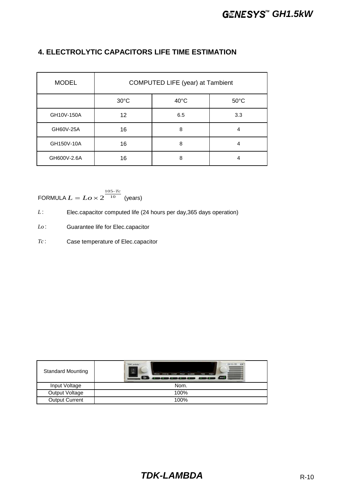#### **4. ELECTROLYTIC CAPACITORS LIFE TIME ESTIMATION**

| <b>MODEL</b> |                | COMPUTED LIFE (year) at Tambient |                |
|--------------|----------------|----------------------------------|----------------|
|              | $30^{\circ}$ C | $40^{\circ}$ C                   | $50^{\circ}$ C |
| GH10V-150A   | 12             | 6.5                              | 3.3            |
| GH60V-25A    | 16             | 8                                | 4              |
| GH150V-10A   | 16             | 8                                | 4              |
| GH600V-2.6A  | 16             | 8                                | 4              |

FORMULA  $L = Lo \times 2^{\overline{10}}$  (years)  $L = Lo \times 2^{\frac{105 - Tc}{10}}$  $= Lo \times 2^{\frac{105-c}{10}}$ 

*L* : Elec.capacitor computed life (24 hours per day, 365 days operation)

*Lo* : Guarantee life for Elec.capacitor

*Tc* : Case temperature of Elec.capacitor

| <b>Standard Mounting</b> | GH10-150 LXI<br>TDK-Lambda<br>≣<br>$\circ$<br><b>FROG SYST/B CONF</b><br>COMM<br><b>FINE</b><br>PREV<br>PROT<br>$\Box$ |
|--------------------------|------------------------------------------------------------------------------------------------------------------------|
| Input Voltage            | Nom.                                                                                                                   |
| Output Voltage           | 100%                                                                                                                   |
| <b>Output Current</b>    | 100%                                                                                                                   |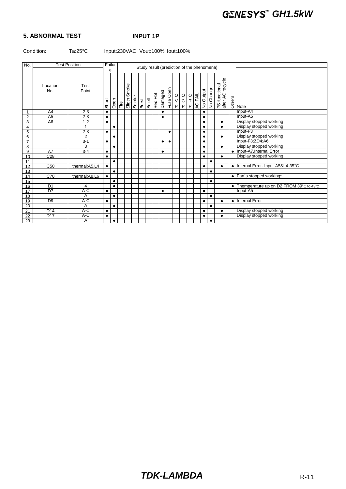#### **5. ABNORMAL TEST INPUT 1P**

#### Condition: Ta:25°C Input:230VAC Vout:100% Iout:100%

| No.             |                 | <b>Test Position</b> | Failur<br>Study result (prediction of the phenomena) |           |                      |                 |       |       |       |         |           |           |                                            |                                                                       |                    |                |           |           |                                            |           |                                         |
|-----------------|-----------------|----------------------|------------------------------------------------------|-----------|----------------------|-----------------|-------|-------|-------|---------|-----------|-----------|--------------------------------------------|-----------------------------------------------------------------------|--------------------|----------------|-----------|-----------|--------------------------------------------|-----------|-----------------------------------------|
|                 |                 |                      |                                                      | е         |                      |                 |       |       |       |         |           |           |                                            |                                                                       |                    |                |           |           |                                            |           |                                         |
|                 | Location<br>No. | Test<br>Point        | Short                                                | Open      | $\frac{e}{\sqrt{2}}$ | Smoke<br>Sligth | Smoke | Burst | Smell | Red Hot | Damaged   | Fuse Open | $\mathsf O$<br>$\mathsf V$<br>$\mathsf{P}$ | $\begin{array}{c} \mathsf{O} \\ \mathsf{C} \\ \mathsf{P} \end{array}$ | $\frac{O}{T}$<br>P | <b>AC FAIL</b> | No Output | No Change | recycle<br>PS functional<br>after AC recyc | Others    | <b>Note</b>                             |
|                 | A4              | $2 - 3$              | $\bullet$                                            |           |                      |                 |       |       |       |         | $\bullet$ |           |                                            |                                                                       |                    |                | $\bullet$ |           |                                            |           | Input-A4                                |
| $\mathfrak{p}$  | A <sub>5</sub>  | $2 - 3$              | $\bullet$                                            |           |                      |                 |       |       |       |         | $\bullet$ |           |                                            |                                                                       |                    |                | $\bullet$ |           |                                            |           | Input-A5                                |
| 3               | A <sub>6</sub>  | $1 - 2$              | $\bullet$                                            |           |                      |                 |       |       |       |         |           |           |                                            |                                                                       |                    |                | $\bullet$ |           | $\bullet$                                  |           | Display stopped working                 |
| 4               |                 | 1                    |                                                      | $\bullet$ |                      |                 |       |       |       |         |           |           |                                            |                                                                       |                    |                | $\bullet$ |           | $\bullet$                                  |           | Display stopped working                 |
| 5               |                 | $2 - 3$              | $\bullet$                                            |           |                      |                 |       |       |       |         |           | $\bullet$ |                                            |                                                                       |                    |                | ٠         |           |                                            |           | Input-F <sub>3</sub>                    |
| 6               |                 | $\overline{2}$       |                                                      | $\bullet$ |                      |                 |       |       |       |         |           |           |                                            |                                                                       |                    |                | $\bullet$ |           | $\bullet$                                  |           | Display stopped working                 |
| $\overline{7}$  |                 | $3 - 1$              | $\bullet$                                            |           |                      |                 |       |       |       |         | $\bullet$ | $\bullet$ |                                            |                                                                       |                    |                | ٠         |           |                                            |           | Input-F3;ZD4;A6                         |
| 8               |                 | 3                    |                                                      | $\bullet$ |                      |                 |       |       |       |         |           |           |                                            |                                                                       |                    |                | $\bullet$ |           | $\bullet$                                  |           | Display stopped working                 |
| 9               | A7              | $3 - 4$              | $\bullet$                                            |           |                      |                 |       |       |       |         | $\bullet$ |           |                                            |                                                                       |                    |                | $\bullet$ |           |                                            |           | . Input-A7, Internal Error              |
| 10              | C <sub>28</sub> |                      | $\bullet$                                            |           |                      |                 |       |       |       |         |           |           |                                            |                                                                       |                    |                | $\bullet$ |           | $\bullet$                                  |           | Display stopped working                 |
| 11              |                 |                      |                                                      | $\bullet$ |                      |                 |       |       |       |         |           |           |                                            |                                                                       |                    |                |           | $\bullet$ |                                            |           |                                         |
| 12              | C <sub>50</sub> | thermal:A5,L4        | $\bullet$                                            |           |                      |                 |       |       |       |         |           |           |                                            |                                                                       |                    |                | ٠         |           | $\bullet$                                  |           | • Internal Error. Input-A5&L4-35°C      |
| 13              |                 |                      |                                                      | $\bullet$ |                      |                 |       |       |       |         |           |           |                                            |                                                                       |                    |                |           | $\bullet$ |                                            |           |                                         |
| 14              | C70             | thermal:A8,L6        | $\bullet$                                            |           |                      |                 |       |       |       |         |           |           |                                            |                                                                       |                    |                |           |           |                                            |           | • Fan's stopped working*                |
| 15              |                 |                      |                                                      | $\bullet$ |                      |                 |       |       |       |         |           |           |                                            |                                                                       |                    |                |           | $\bullet$ |                                            |           |                                         |
| 16              | D <sub>1</sub>  | 4                    |                                                      | $\bullet$ |                      |                 |       |       |       |         |           |           |                                            |                                                                       |                    |                |           |           |                                            | $\bullet$ | Themperature up on D2 FROM 39°C to 43°C |
| 17              | $\overline{D7}$ | A-C                  | $\bullet$                                            |           |                      |                 |       |       |       |         | $\bullet$ |           |                                            |                                                                       |                    |                | $\bullet$ |           |                                            |           | Input-A5                                |
| 18              |                 | Α                    |                                                      | $\bullet$ |                      |                 |       |       |       |         |           |           |                                            |                                                                       |                    |                |           | $\bullet$ |                                            |           |                                         |
| 19              | D <sub>9</sub>  | A-C                  | $\bullet$                                            |           |                      |                 |       |       |       |         |           |           |                                            |                                                                       |                    |                | $\bullet$ |           | $\bullet$                                  |           | • Internal Error                        |
| 20              |                 | A                    |                                                      | $\bullet$ |                      |                 |       |       |       |         |           |           |                                            |                                                                       |                    |                |           | $\bullet$ |                                            |           |                                         |
| $\overline{21}$ | D14             | A-C                  | $\bullet$                                            |           |                      |                 |       |       |       |         |           |           |                                            |                                                                       |                    |                | ٠         |           | $\bullet$                                  |           | Display stopped working                 |
| 22              | D <sub>17</sub> | $A-C$                | ٠                                                    |           |                      |                 |       |       |       |         |           |           |                                            |                                                                       |                    |                | $\bullet$ |           |                                            |           | Display stopped working                 |
| 23              |                 | A                    |                                                      | $\bullet$ |                      |                 |       |       |       |         |           |           |                                            |                                                                       |                    |                |           | $\bullet$ |                                            |           |                                         |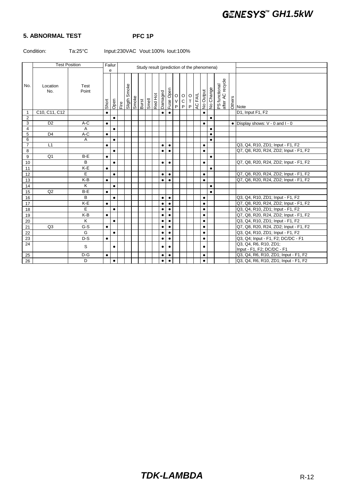#### **5. ABNORMAL TEST PFC 1P**

#### Condition: Ta:25°C Input:230VAC Vout:100% Iout:100%

|                | <b>Test Position</b> |               | Failur<br>Study result (prediction of the phenomena)<br>e |           |      |                  |       |       |       |         |           |           |  |  |                                                                        |                |           |           |                                   |  |                                          |
|----------------|----------------------|---------------|-----------------------------------------------------------|-----------|------|------------------|-------|-------|-------|---------|-----------|-----------|--|--|------------------------------------------------------------------------|----------------|-----------|-----------|-----------------------------------|--|------------------------------------------|
|                |                      |               |                                                           |           |      |                  |       |       |       |         |           |           |  |  |                                                                        |                |           |           |                                   |  |                                          |
| No.            | Location<br>No.      | Test<br>Point | Short                                                     | Open      | Fire | Smoke<br>; upils | Smoke | Burst | llews | Red Hot | Damaged   | Fuse Open |  |  | $\begin{array}{c c}\n0 & D & D \\ 0 & 0 & D \\ 0 & D & D\n\end{array}$ | <b>AC FAIL</b> | No Output | No Change | PS functional<br>after AC recycle |  | $rac{6}{6}$ Note                         |
| 1              | C10, C11, C12        |               | $\bullet$                                                 |           |      |                  |       |       |       |         | $\bullet$ | $\bullet$ |  |  |                                                                        |                | $\bullet$ |           |                                   |  | D1, Input F1, F2                         |
| $\overline{2}$ |                      |               |                                                           | $\bullet$ |      |                  |       |       |       |         |           |           |  |  |                                                                        |                |           | $\bullet$ |                                   |  |                                          |
| 3              | $\overline{D2}$      | A-C           | $\bullet$                                                 |           |      |                  |       |       |       |         |           |           |  |  |                                                                        |                | $\bullet$ |           |                                   |  | $\bullet$ Display shows: V - 0 and I - 0 |
| 4              |                      | Α             |                                                           | $\bullet$ |      |                  |       |       |       |         |           |           |  |  |                                                                        |                |           | $\bullet$ |                                   |  |                                          |
| 5              | D <sub>4</sub>       | A-C           | $\bullet$                                                 |           |      |                  |       |       |       |         |           |           |  |  |                                                                        |                |           | $\bullet$ |                                   |  |                                          |
| 6              |                      | A             |                                                           | $\bullet$ |      |                  |       |       |       |         |           |           |  |  |                                                                        |                |           | $\bullet$ |                                   |  |                                          |
| $\overline{7}$ | L1                   |               | $\bullet$                                                 |           |      |                  |       |       |       |         | $\bullet$ | $\bullet$ |  |  |                                                                        |                | $\bullet$ |           |                                   |  | Q3, Q4, R10, ZD1; Input - F1, F2         |
| 8              |                      |               |                                                           | $\bullet$ |      |                  |       |       |       |         | $\bullet$ | $\bullet$ |  |  |                                                                        |                | $\bullet$ |           |                                   |  | Q7, Q8, R20, R24, ZD2; Input - F1, F2    |
| 9              | Q <sub>1</sub>       | B-E           | $\bullet$                                                 |           |      |                  |       |       |       |         |           |           |  |  |                                                                        |                |           | $\bullet$ |                                   |  |                                          |
| 10             |                      | B             |                                                           | $\bullet$ |      |                  |       |       |       |         | $\bullet$ | $\bullet$ |  |  |                                                                        |                | $\bullet$ |           |                                   |  | Q7, Q8, R20, R24, ZD2; Input - F1, F2    |
| 11             |                      | K-E           | $\bullet$                                                 |           |      |                  |       |       |       |         |           |           |  |  |                                                                        |                |           | $\bullet$ |                                   |  |                                          |
| 12             |                      | E             |                                                           | $\bullet$ |      |                  |       |       |       |         | $\bullet$ | $\bullet$ |  |  |                                                                        |                | $\bullet$ |           |                                   |  | Q7, Q8, R20, R24, ZD2; Input - F1, F2    |
| 13             |                      | K-B           | $\bullet$                                                 |           |      |                  |       |       |       |         | $\bullet$ | $\bullet$ |  |  |                                                                        |                | $\bullet$ |           |                                   |  | Q7, Q8, R20, R24, ZD2; Input - F1, F2    |
| 14             |                      | K             |                                                           | $\bullet$ |      |                  |       |       |       |         |           |           |  |  |                                                                        |                |           | $\bullet$ |                                   |  |                                          |
| 15             | Q2                   | B-E           | $\bullet$                                                 |           |      |                  |       |       |       |         |           |           |  |  |                                                                        |                |           | $\bullet$ |                                   |  |                                          |
| 16             |                      | B             |                                                           | $\bullet$ |      |                  |       |       |       |         | $\bullet$ | $\bullet$ |  |  |                                                                        |                | $\bullet$ |           |                                   |  | Q3, Q4, R10, ZD1; Input - F1, F2         |
| 17             |                      | K-E           | $\bullet$                                                 |           |      |                  |       |       |       |         | $\bullet$ | $\bullet$ |  |  |                                                                        |                | $\bullet$ |           |                                   |  | Q7, Q8, R20, R24, ZD2; Input - F1, F2    |
| 18             |                      | E             |                                                           | $\bullet$ |      |                  |       |       |       |         | $\bullet$ | $\bullet$ |  |  |                                                                        |                | $\bullet$ |           |                                   |  | Q3, Q4, R10, ZD1; Input - F1, F2         |
| 19             |                      | K-B           | $\bullet$                                                 |           |      |                  |       |       |       |         | $\bullet$ | $\bullet$ |  |  |                                                                        |                | $\bullet$ |           |                                   |  | Q7, Q8, R20, R24, ZD2; Input - F1, F2    |
| 20             |                      | K             |                                                           | $\bullet$ |      |                  |       |       |       |         | $\bullet$ | $\bullet$ |  |  |                                                                        |                | $\bullet$ |           |                                   |  | Q3, Q4, R10, ZD1; Input - F1, F2         |
| 21             | O <sub>3</sub>       | $G-S$         | $\bullet$                                                 |           |      |                  |       |       |       |         | $\bullet$ | $\bullet$ |  |  |                                                                        |                | $\bullet$ |           |                                   |  | Q7, Q8, R20, R24, ZD2; Input - F1, F2    |
| 22             |                      | G             |                                                           | $\bullet$ |      |                  |       |       |       |         | $\bullet$ | $\bullet$ |  |  |                                                                        |                | $\bullet$ |           |                                   |  | Q3, Q4, R10, ZD1; Input - F1, F2         |
| 23             |                      | $D-S$         | $\bullet$                                                 |           |      |                  |       |       |       |         | $\bullet$ | $\bullet$ |  |  |                                                                        |                | $\bullet$ |           |                                   |  | Q3, Q4; Input - F1, F2; DC/DC - F1       |
| 24             |                      | S             |                                                           |           |      |                  |       |       |       |         |           |           |  |  |                                                                        |                |           |           |                                   |  | Q3, Q4, R6, R10, ZD1;                    |
|                |                      |               |                                                           | $\bullet$ |      |                  |       |       |       |         | $\bullet$ | $\bullet$ |  |  |                                                                        |                | ٠         |           |                                   |  | Input - F1, F2; DC/DC - F1               |
| 25             |                      | $D-G$         | $\bullet$                                                 |           |      |                  |       |       |       |         | ٠         | $\bullet$ |  |  |                                                                        |                | ٠         |           |                                   |  | Q3, Q4, R6, R10, ZD1; Input - F1, F2     |
| 26             |                      | D             |                                                           | $\bullet$ |      |                  |       |       |       |         | $\bullet$ | $\bullet$ |  |  |                                                                        |                | $\bullet$ |           |                                   |  | Q3, Q4, R6, R10, ZD1; Input - F1, F2     |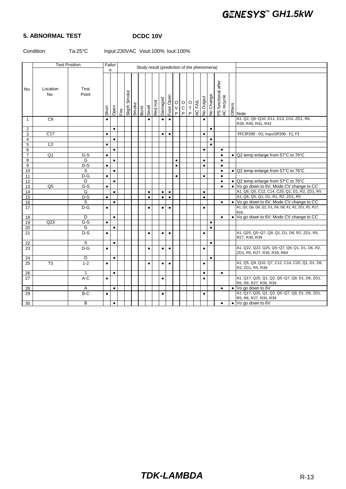#### **5. ABNORMAL TEST DCDC 10V**

Condition: Ta:25°C Input:230VAC Vout:100% Iout:100%

|                | <b>Test Position</b> |                  |           | Failur<br>Study result (prediction of the phenomena) |      |                              |       |       |           |         |           |           |           |                      |                          |  |           |                          |                                   |           |                                                                              |
|----------------|----------------------|------------------|-----------|------------------------------------------------------|------|------------------------------|-------|-------|-----------|---------|-----------|-----------|-----------|----------------------|--------------------------|--|-----------|--------------------------|-----------------------------------|-----------|------------------------------------------------------------------------------|
|                | e                    |                  |           |                                                      |      |                              |       |       |           |         |           |           |           |                      |                          |  |           |                          |                                   |           |                                                                              |
| No.            | Location<br>No.      | Test<br>Point    | Short     | Open                                                 | Fire | Smoke<br>Sligth <sup>:</sup> | Smoke | Burst | lləws     | Red Hot | Damaged   | Fuse Open | $\vee$    | $O$ O<br>$\mathsf C$ | <b>D H O<br/>AC FAIL</b> |  | No Output | Change<br>$\overline{2}$ | PS functional after<br>AC recycle | Others    |                                                                              |
|                |                      |                  |           |                                                      |      |                              |       |       |           |         |           |           | P         | $\mathsf{P}$         |                          |  |           |                          |                                   |           | Note                                                                         |
| $\mathbf{1}$   | C <sub>8</sub>       |                  | $\bullet$ |                                                      |      |                              |       |       | $\bullet$ |         | $\bullet$ | $\bullet$ |           |                      |                          |  | $\bullet$ |                          |                                   |           | A1, Q2, Q6~Q10, D11, D13, D14, ZD1, R6,<br>R39, R40, R41, R42                |
| $\overline{2}$ |                      |                  |           | $\bullet$                                            |      |                              |       |       |           |         |           |           |           |                      |                          |  |           | $\bullet$                |                                   |           |                                                                              |
| 3              | $\overline{C17}$     |                  | $\bullet$ |                                                      |      |                              |       |       |           |         | $\bullet$ | $\bullet$ |           |                      |                          |  | $\bullet$ |                          |                                   |           | PFC3P200 - D1; Input3P200 - F1, F3                                           |
| $\overline{4}$ |                      |                  |           | $\bullet$                                            |      |                              |       |       |           |         |           |           |           |                      |                          |  |           | $\bullet$                |                                   |           |                                                                              |
| 5              | L3                   |                  | $\bullet$ |                                                      |      |                              |       |       |           |         |           |           |           |                      |                          |  |           | $\bullet$                |                                   |           |                                                                              |
| 6              |                      |                  |           | $\bullet$                                            |      |                              |       |       |           |         |           |           |           |                      |                          |  | $\bullet$ |                          | $\bullet$                         |           |                                                                              |
| $\overline{7}$ | $\overline{Q1}$      | $G-S$            | $\bullet$ |                                                      |      |                              |       |       |           |         |           |           |           |                      |                          |  |           |                          | $\bullet$                         | $\bullet$ | Q2 temp enlarge from 57°C to 76°C                                            |
| 8              |                      | G                |           | $\bullet$                                            |      |                              |       |       |           |         |           |           | $\bullet$ |                      |                          |  | $\bullet$ |                          | $\bullet$                         |           |                                                                              |
| 9              |                      | $\overline{D-S}$ | $\bullet$ |                                                      |      |                              |       |       |           |         |           |           | $\bullet$ |                      |                          |  | $\bullet$ |                          | $\bullet$                         |           |                                                                              |
| 10             |                      | S                |           | $\bullet$                                            |      |                              |       |       |           |         |           |           |           |                      |                          |  |           |                          | $\bullet$                         | $\bullet$ | Q2 temp enlarge from 57°C to 76°C                                            |
| 11             |                      | $D-G$            | $\bullet$ |                                                      |      |                              |       |       |           |         |           |           | $\bullet$ |                      |                          |  | $\bullet$ |                          | $\bullet$                         |           |                                                                              |
| 12             |                      | D                |           | $\bullet$                                            |      |                              |       |       |           |         |           |           |           |                      |                          |  |           |                          | $\bullet$                         | $\bullet$ | Q2 temp enlarge from 57°C to 76°C                                            |
| 13             | Q <sub>5</sub>       | $G-S$            | $\bullet$ |                                                      |      |                              |       |       |           |         |           |           |           |                      |                          |  |           |                          | $\bullet$                         | $\bullet$ | Vo go down to 6V; Mode CV change to CC                                       |
| 14             |                      | G                |           | $\bullet$                                            |      |                              |       |       | $\bullet$ |         | $\bullet$ | $\bullet$ |           |                      |                          |  | $\bullet$ |                          |                                   |           | A1, Q6, Q5, C12, C14, C20, Q1, D1, R2, ZD1, R5                               |
| 15             |                      | $D-S$            | $\bullet$ |                                                      |      |                              |       |       | $\bullet$ |         | $\bullet$ | $\bullet$ |           |                      |                          |  | $\bullet$ |                          |                                   |           | A1, Q6, Q5, Q1, D1, R1, R2, ZD1, R5                                          |
| 16             |                      | s                |           | $\bullet$                                            |      |                              |       |       |           |         |           |           |           |                      |                          |  |           |                          | $\bullet$                         |           | • Vo go down to 6V; Mode CV change to CC                                     |
| 17             |                      | $D-G$            | $\bullet$ |                                                      |      |                              |       |       | $\bullet$ |         | $\bullet$ | $\bullet$ |           |                      |                          |  | $\bullet$ |                          |                                   |           | A1, Q5, Q6, Q4, Q1, D1, D6, D8, R1, R2, ZD1, R5, R27,<br>R28.                |
| 18             |                      | D                |           | $\bullet$                                            |      |                              |       |       |           |         |           |           |           |                      |                          |  |           |                          | $\bullet$                         |           | • Vo go down to 6V; Mode CV change to CC                                     |
| 19             | Q23                  | $G-S$            | $\bullet$ |                                                      |      |                              |       |       |           |         |           |           |           |                      |                          |  |           | $\bullet$                |                                   |           |                                                                              |
| 20             |                      | G                |           | $\bullet$                                            |      |                              |       |       |           |         |           |           |           |                      |                          |  |           | $\bullet$                |                                   |           |                                                                              |
| 21             |                      | $D-S$            | $\bullet$ |                                                      |      |                              |       |       | $\bullet$ |         | $\bullet$ | $\bullet$ |           |                      |                          |  | $\bullet$ |                          |                                   |           | A1, Q25, Q5~Q7, Q9, Q1, D1, D6, R2, ZD1, R5,<br>R27, R30, R39                |
| 22             |                      | S                |           | $\bullet$                                            |      |                              |       |       |           |         |           |           |           |                      |                          |  |           | $\bullet$                |                                   |           |                                                                              |
| 23             |                      | $D-G$            | $\bullet$ |                                                      |      |                              |       |       | $\bullet$ |         | $\bullet$ | $\bullet$ |           |                      |                          |  | $\bullet$ |                          |                                   |           | A1, Q22, Q23, Q25, Q5~Q7, Q9, Q1, D1, D6, R2,<br>ZD1, R5, R27, R30, R39, R84 |
| 24             |                      | D                |           | $\bullet$                                            |      |                              |       |       |           |         |           |           |           |                      |                          |  |           | $\bullet$                |                                   |           |                                                                              |
| 25             | T <sub>3</sub>       | $1 - 2$          | $\bullet$ |                                                      |      |                              |       |       | $\bullet$ |         | $\bullet$ | $\bullet$ |           |                      |                          |  | $\bullet$ |                          |                                   |           | A1, Q5, Q9, Q10, Q7, C12, C14, C20, Q1, D1, D6,<br>R2, ZD1, R5, R39          |
| 26             |                      | $\mathbf{1}$     |           | $\bullet$                                            |      |                              |       |       |           |         |           |           |           |                      |                          |  | $\bullet$ |                          | $\bullet$                         |           |                                                                              |
| 27             |                      | $A-C$            | $\bullet$ |                                                      |      |                              |       |       |           |         | $\bullet$ |           |           |                      |                          |  | $\bullet$ |                          |                                   |           | A1, Q17, Q25, Q1, Q2, Q5~Q7, Q9, D1, D6, ZD1,<br>R5, R6, R27, R30, R39       |
| 28             |                      | Α                |           | $\bullet$                                            |      |                              |       |       |           |         |           |           |           |                      |                          |  |           |                          | $\bullet$                         |           | • Vo go down to 6V                                                           |
| 29             |                      | $B-C$            | $\bullet$ |                                                      |      |                              |       |       |           |         | $\bullet$ |           |           |                      |                          |  | $\bullet$ |                          |                                   |           | A1, Q17, Q25, Q1, Q2, Q5~Q7, Q9, D1, D6, ZD1,<br>R5, R6, R27, R30, R39       |
| 30             |                      | B                |           | $\bullet$                                            |      |                              |       |       |           |         |           |           |           |                      |                          |  |           |                          | $\bullet$                         |           | • Vo go down to 6V                                                           |